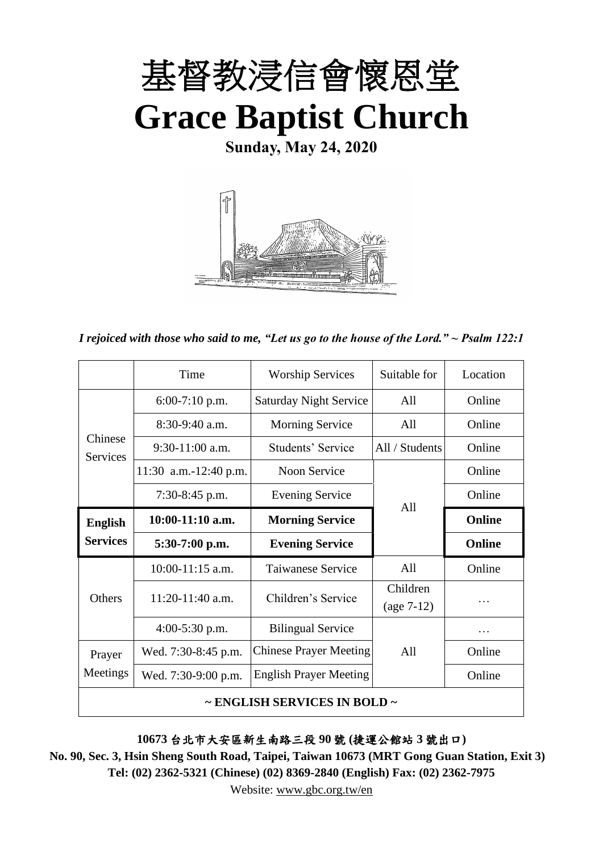

**Sunday, May 24, 2020**



*I rejoiced with those who said to me, "Let us go to the house of the Lord." ~ Psalm 122:1*

|                                        | Time                  | <b>Worship Services</b>       | Suitable for             | Location |  |  |
|----------------------------------------|-----------------------|-------------------------------|--------------------------|----------|--|--|
|                                        | $6:00-7:10$ p.m.      | <b>Saturday Night Service</b> | All                      | Online   |  |  |
|                                        | $8:30-9:40$ a.m.      | <b>Morning Service</b>        | All                      | Online   |  |  |
| Chinese<br><b>Services</b>             | $9:30-11:00$ a.m.     | Students' Service             | All / Students           | Online   |  |  |
|                                        | 11:30 a.m.-12:40 p.m. | Noon Service                  |                          | Online   |  |  |
|                                        | $7:30-8:45$ p.m.      | <b>Evening Service</b>        | All                      | Online   |  |  |
| <b>English</b>                         | $10:00-11:10$ a.m.    | <b>Morning Service</b>        |                          | Online   |  |  |
| <b>Services</b>                        | $5:30-7:00$ p.m.      | <b>Evening Service</b>        |                          | Online   |  |  |
| <b>Others</b>                          | $10:00-11:15$ a.m.    | Taiwanese Service             | A11                      | Online   |  |  |
|                                        | 11:20-11:40 a.m.      | Children's Service            | Children<br>$(age 7-12)$ | .        |  |  |
|                                        | 4:00-5:30 p.m.        | <b>Bilingual Service</b>      |                          | .        |  |  |
| Prayer                                 | Wed. 7:30-8:45 p.m.   | <b>Chinese Prayer Meeting</b> | A11                      | Online   |  |  |
| Meetings                               | Wed. 7:30-9:00 p.m.   | <b>English Prayer Meeting</b> |                          | Online   |  |  |
| $\sim$ ENGLISH SERVICES IN BOLD $\sim$ |                       |                               |                          |          |  |  |

**10673** 台北市大安區新生南路三段 **90** 號 **(**捷運公館站 **3** 號出口**)**

**No. 90, Sec. 3, Hsin Sheng South Road, Taipei, Taiwan 10673 (MRT Gong Guan Station, Exit 3) Tel: (02) 2362-5321 (Chinese) (02) 8369-2840 (English) Fax: (02) 2362-7975**

Website: [www.gbc.org.tw/en](http://www.gbc.org.tw/en)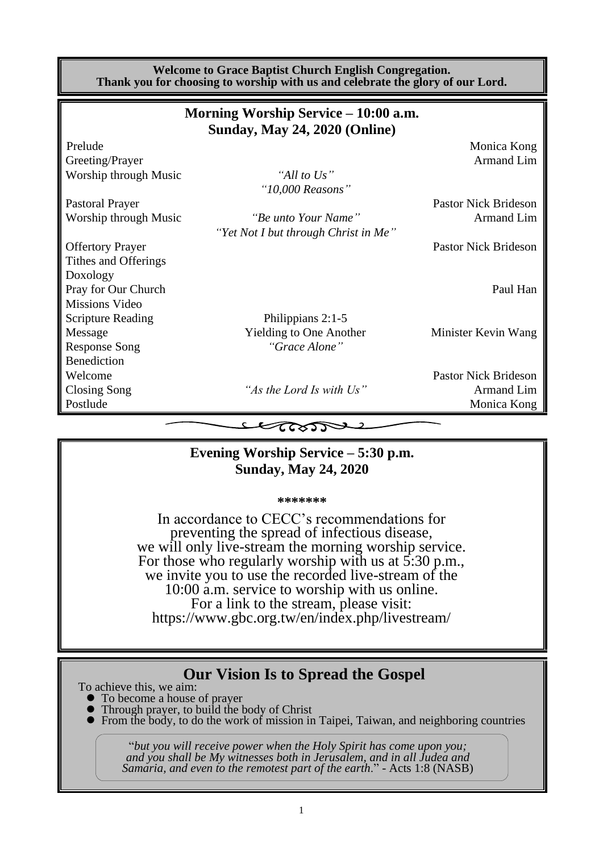| <b>Welcome to Grace Baptist Church English Congregation.</b><br>Thank you for choosing to worship with us and celebrate the glory of our Lord. |                                                                              |                             |  |  |  |  |
|------------------------------------------------------------------------------------------------------------------------------------------------|------------------------------------------------------------------------------|-----------------------------|--|--|--|--|
|                                                                                                                                                | Morning Worship Service – 10:00 a.m.<br><b>Sunday, May 24, 2020 (Online)</b> |                             |  |  |  |  |
| Prelude                                                                                                                                        |                                                                              | Monica Kong                 |  |  |  |  |
| Greeting/Prayer                                                                                                                                |                                                                              | <b>Armand Lim</b>           |  |  |  |  |
| Worship through Music                                                                                                                          | "All to Us"                                                                  |                             |  |  |  |  |
|                                                                                                                                                | "10,000 Reasons"                                                             |                             |  |  |  |  |
| <b>Pastoral Prayer</b>                                                                                                                         |                                                                              | <b>Pastor Nick Brideson</b> |  |  |  |  |
| Worship through Music                                                                                                                          | "Be unto Your Name"                                                          | <b>Armand Lim</b>           |  |  |  |  |
|                                                                                                                                                | "Yet Not I but through Christ in Me"                                         |                             |  |  |  |  |
| <b>Offertory Prayer</b>                                                                                                                        |                                                                              | <b>Pastor Nick Brideson</b> |  |  |  |  |
| Tithes and Offerings                                                                                                                           |                                                                              |                             |  |  |  |  |
| Doxology                                                                                                                                       |                                                                              |                             |  |  |  |  |
| Pray for Our Church                                                                                                                            |                                                                              | Paul Han                    |  |  |  |  |
| Missions Video                                                                                                                                 |                                                                              |                             |  |  |  |  |
| <b>Scripture Reading</b>                                                                                                                       | Philippians 2:1-5                                                            |                             |  |  |  |  |
| Message                                                                                                                                        | Yielding to One Another                                                      | Minister Kevin Wang         |  |  |  |  |
| <b>Response Song</b>                                                                                                                           | "Grace Alone"                                                                |                             |  |  |  |  |
| <b>Benediction</b>                                                                                                                             |                                                                              |                             |  |  |  |  |
| Welcome                                                                                                                                        |                                                                              | <b>Pastor Nick Brideson</b> |  |  |  |  |
| Closing Song                                                                                                                                   | "As the Lord Is with Us"                                                     | Armand Lim                  |  |  |  |  |
| Postlude                                                                                                                                       |                                                                              | Monica Kong                 |  |  |  |  |
|                                                                                                                                                | てへくつつ                                                                        |                             |  |  |  |  |

#### **Evening Worship Service – 5:30 p.m. Sunday, May 24, 2020**

**\*\*\*\*\*\*\***

In accordance to CECC's recommendations for preventing the spread of infectious disease, we will only live-stream the morning worship service. For those who regularly worship with us at 5:30 p.m., we invite you to use the recorded live-stream of the 10:00 a.m. service to worship with us online. For a link to the stream, please visit: https://www.gbc.org.tw/en/index.php/livestream/

## **Our Vision Is to Spread the Gospel**

To achieve this, we aim:

- ⚫ To become a house of prayer
- ⚫ Through prayer, to build the body of Christ
- ⚫ From the body, to do the work of mission in Taipei, Taiwan, and neighboring countries

"*but you will receive power when the Holy Spirit has come upon you; and you shall be My witnesses both in Jerusalem, and in all Judea and Samaria, and even to the remotest part of the earth*." - Acts 1:8 (NASB)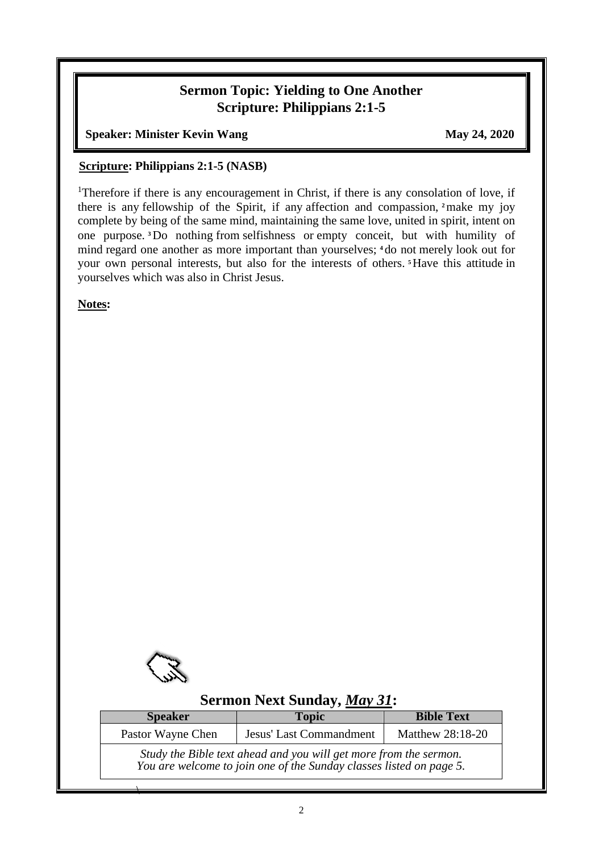### **Sermon Topic: Yielding to One Another Scripture: Philippians 2:1-5**

**Speaker: Minister Kevin Wang May 24, 2020** 

#### **Scripture: Philippians 2:1-5 (NASB)**

<sup>1</sup>Therefore if there is any encouragement in Christ, if there is any consolation of love, if there is any fellowship of the Spirit, if any affection and compassion, **<sup>2</sup>**make my joy complete by being of the same mind, maintaining the same love, united in spirit, intent on one purpose. **<sup>3</sup>**Do nothing from selfishness or empty conceit, but with humility of mind regard one another as more important than yourselves; **<sup>4</sup>** do not merely look out for your own personal interests, but also for the interests of others. **<sup>5</sup>**Have this attitude in yourselves which was also in Christ Jesus.

**Notes:**



 $\overline{\phantom{a}}$ 

## **Sermon Next Sunday,** *May 31***:**

| <b>Speaker</b>                                                                                                                           | <b>Topic</b>     | <b>Bible Text</b> |  |  |  |
|------------------------------------------------------------------------------------------------------------------------------------------|------------------|-------------------|--|--|--|
| Pastor Wayne Chen                                                                                                                        | Matthew 28:18-20 |                   |  |  |  |
| Study the Bible text ahead and you will get more from the sermon.<br>You are welcome to join one of the Sunday classes listed on page 5. |                  |                   |  |  |  |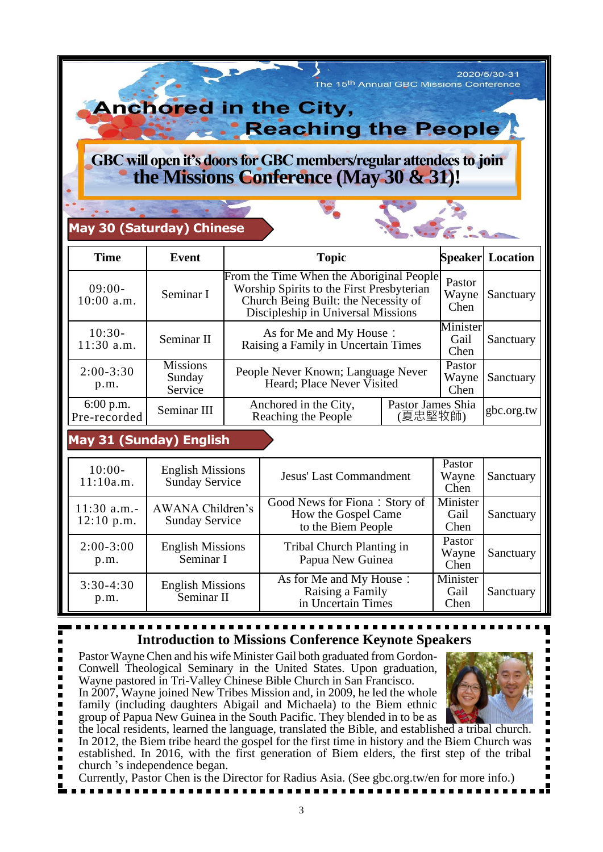2020/5/30-31 The 15<sup>th</sup> Annual GBC Missions Conference

> ı ī

 $\blacksquare$ 

# **Anchored in the City, \* Reaching the People**

## GBC will open it's doors for GBC members/regular attendees to join **the Missions Conference (May 30 & 31)!**

## **May 30 (Saturday) Chinese**

| <b>Time</b>                 | Event                                | <b>Topic</b>                                                                                                                                                        |                          | <b>Speaker</b> Location |            |
|-----------------------------|--------------------------------------|---------------------------------------------------------------------------------------------------------------------------------------------------------------------|--------------------------|-------------------------|------------|
| $09:00-$<br>$10:00$ a.m.    | Seminar I                            | From the Time When the Aboriginal People<br>Worship Spirits to the First Presbyterian<br>Church Being Built: the Necessity of<br>Discipleship in Universal Missions | Pastor<br>Wayne<br>Chen  | Sanctuary               |            |
| $10:30-$<br>$11:30$ a.m.    | Seminar II                           | As for Me and My House:<br>Raising a Family in Uncertain Times                                                                                                      | Minister<br>Gail<br>Chen | Sanctuary               |            |
| $2:00 - 3:30$<br>p.m.       | <b>Missions</b><br>Sunday<br>Service | People Never Known; Language Never<br>Heard; Place Never Visited                                                                                                    |                          | Pastor<br>Wayne<br>Chen | Sanctuary  |
| $6:00$ p.m.<br>Pre-recorded | Seminar III                          | Pastor James Shia<br>Anchored in the City,<br>夏忠堅牧師)<br>Reaching the People                                                                                         |                          |                         | gbc.org.tw |

## **May 31 (Sunday) English**

| $10:00-$<br>11:10a.m.                                                      | <b>English Missions</b><br><b>Sunday Service</b> | <b>Jesus' Last Commandment</b>                                             | Pastor<br>Wayne<br>Chen  | Sanctuary |
|----------------------------------------------------------------------------|--------------------------------------------------|----------------------------------------------------------------------------|--------------------------|-----------|
| AWANA Children's<br>$11:30$ a.m.-<br><b>Sunday Service</b><br>$12:10$ p.m. |                                                  | Good News for Fiona: Story of<br>How the Gospel Came<br>to the Biem People | Minister<br>Gail<br>Chen | Sanctuary |
| $2:00-3:00$<br>p.m.                                                        | <b>English Missions</b><br>Seminar I             | Tribal Church Planting in<br>Papua New Guinea                              | Pastor<br>Wayne<br>Chen  | Sanctuary |
| $3:30-4:30$<br>p.m.                                                        | <b>English Missions</b><br>Seminar II            | As for Me and My House:<br>Raising a Family<br>in Uncertain Times          | Minister<br>Gail<br>Chen | Sanctuary |

## **Introduction to Missions Conference Keynote Speakers**

Pastor Wayne Chen and his wife Minister Gail both graduated from Gordon-Conwell Theological Seminary in the United States. Upon graduation, Wayne pastored in Tri-Valley Chinese Bible Church in San Francisco.

In 2007, Wayne joined New Tribes Mission and, in 2009, he led the whole family (including daughters Abigail and Michaela) to the Biem ethnic group of Papua New Guinea in the South Pacific. They blended in to be as п

the local residents, learned the language, translated the Bible, and established a tribal church. п In 2012, the Biem tribe heard the gospel for the first time in history and the Biem Church was established. In 2016, with the first generation of Biem elders, the first step of the tribal

- church 's independence began.
- Currently, Pastor Chen is the Director for Radius Asia. (See gbc.org.tw/en for more info.)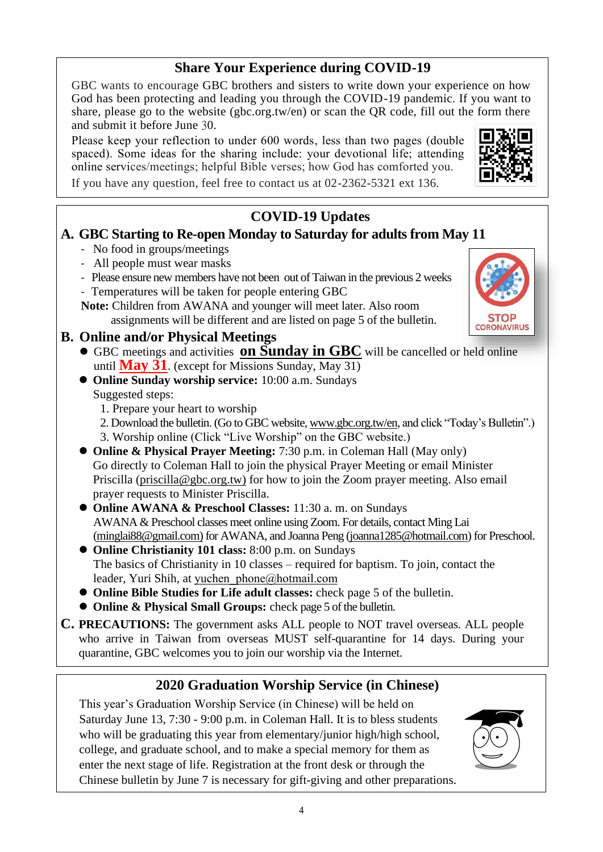## **Share Your Experience during COVID-19**

GBC wants to encourage GBC brothers and sisters to write down your experience on how God has been protecting and leading you through the COVID-19 pandemic. If you want to share, please go to the website (gbc.org.tw/en) or scan the QR code, fill out the form there and submit it before June 30.

Please keep your reflection to under 600 words, less than two pages (double spaced). Some ideas for the sharing include: your devotional life; attending online services/meetings; helpful Bible verses; how God has comforted you.



**CORONAVIRUS** 

If you have any question, feel free to contact us at 02-2362-5321 ext 136.

## **COVID-19 Updates**

#### **A. GBC Starting to Re-open Monday to Saturday for adults from May 11**

- No food in groups/meetings
- All people must wear masks
- Please ensure new members have not been out of Taiwan in the previous 2 weeks
- Temperatures will be taken for people entering GBC

**Note:** Children from AWANA and younger will meet later. Also room assignments will be different and are listed on page 5 of the bulletin.

#### **B. Online and/or Physical Meetings**

- ⚫ GBC meetings and activities **on Sunday in GBC** will be cancelled or held online until **May 31**. (except for Missions Sunday, May 31)
- ⚫ **Online Sunday worship service:** 10:00 a.m. Sundays Suggested steps:
	- 1. Prepare your heart to worship
	- 2. Download the bulletin. (Go to GBC website[, www.gbc.org.tw/en,](http://www.gbc.org.tw/en) and click "Today's Bulletin".) 3. Worship online (Click "Live Worship" on the GBC website.)
- **Online & Physical Prayer Meeting:** 7:30 p.m. in Coleman Hall (May only) Go directly to Coleman Hall to join the physical Prayer Meeting or email Minister Priscilla [\(priscilla@gbc.org.tw\)](mailto:priscilla@gbc.org.tw) for how to join the Zoom prayer meeting. Also email prayer requests to Minister Priscilla.
- ⚫ **Online AWANA & Preschool Classes:** 11:30 a. m. on Sundays AWANA & Preschool classes meet online using Zoom. For details, contact Ming Lai (minglai88@gmail.com) for AWANA, and Joanna Peng [\(joanna1285@hotmail.com\)](mailto:joanna1285@hotmail.com) for Preschool.
- ⚫ **Online Christianity 101 class:** 8:00 p.m. on Sundays The basics of Christianity in 10 classes – required for baptism. To join, contact the leader, Yuri Shih, at [yuchen\\_phone@hotmail.com](mailto:yuchen_phone@hotmail.com)
- ⚫ **Online Bible Studies for Life adult classes:** check page 5 of the bulletin.
- ⚫ **Online & Physical Small Groups:** check page 5 of the bulletin.
- **C. PRECAUTIONS:** The government asks ALL people to NOT travel overseas. ALL people who arrive in Taiwan from overseas MUST self-quarantine for 14 days. During your quarantine, GBC welcomes you to join our worship via the Internet.

## **2020 Graduation Worship Service (in Chinese)**

This year's Graduation Worship Service (in Chinese) will be held on Saturday June 13, 7:30 - 9:00 p.m. in Coleman Hall. It is to bless students who will be graduating this year from elementary/junior high/high school, college, and graduate school, and to make a special memory for them as enter the next stage of life. Registration at the front desk or through the Chinese bulletin by June 7 is necessary for gift-giving and other preparations.

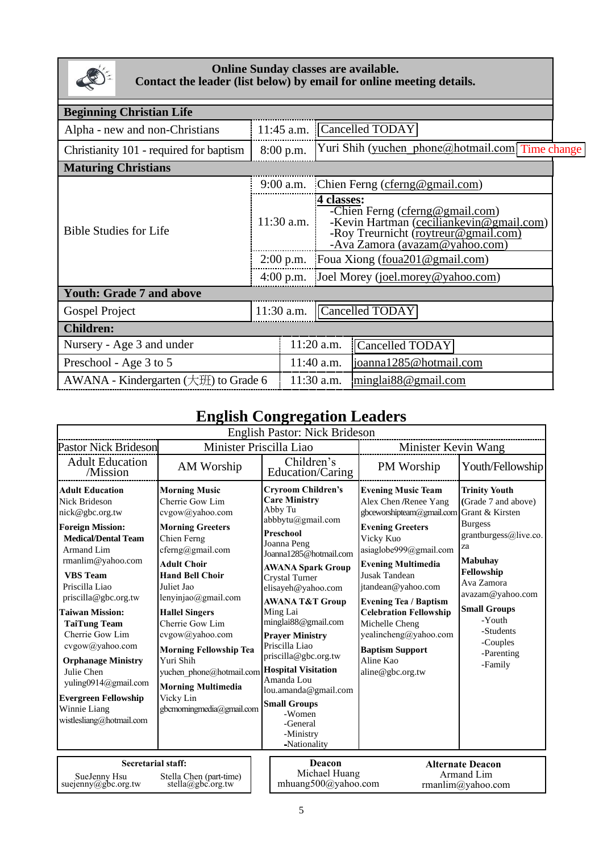

#### **Online Sunday classes are available. Contact the leader (list below) by email for online meeting details.**

| <b>Beginning Christian Life</b>                     |  |                                                                                                                                                                     |                                                            |  |  |  |  |
|-----------------------------------------------------|--|---------------------------------------------------------------------------------------------------------------------------------------------------------------------|------------------------------------------------------------|--|--|--|--|
| 11:45 a.m.                                          |  |                                                                                                                                                                     | Cancelled TODAY                                            |  |  |  |  |
|                                                     |  | Yuri Shih (yuchen phone@hotmail.com] Time change                                                                                                                    |                                                            |  |  |  |  |
| <b>Maturing Christians</b>                          |  |                                                                                                                                                                     |                                                            |  |  |  |  |
|                                                     |  | Chien Ferng (cferng@gmail.com)                                                                                                                                      |                                                            |  |  |  |  |
|                                                     |  | 4 classes:<br>-Chien Ferng (cferng@gmail.com)<br>-Kevin Hartman (ceciliankevin@gmail.com)<br>-Roy Treurnicht (roytreur@gmail.com)<br>-Ava Zamora (avazam@yahoo.com) |                                                            |  |  |  |  |
|                                                     |  | 2:00 p.m. Foua Xiong (foua $201$ @ gmail.com)                                                                                                                       |                                                            |  |  |  |  |
| $4:00$ p.m.                                         |  | Joel Morey (joel.morey@yahoo.com)                                                                                                                                   |                                                            |  |  |  |  |
|                                                     |  |                                                                                                                                                                     |                                                            |  |  |  |  |
|                                                     |  | Cancelled TODAY                                                                                                                                                     |                                                            |  |  |  |  |
| <b>Children:</b>                                    |  |                                                                                                                                                                     |                                                            |  |  |  |  |
| Nursery - Age 3 and under                           |  |                                                                                                                                                                     | Cancelled TODAY                                            |  |  |  |  |
|                                                     |  |                                                                                                                                                                     | joanna1285@hotmail.com                                     |  |  |  |  |
| AWANA - Kindergarten $(\pm \mathcal{H})$ to Grade 6 |  |                                                                                                                                                                     | minglai88@gmail.com                                        |  |  |  |  |
|                                                     |  | $8:00$ p.m.<br>$9:00$ a.m.<br>$11:30$ a.m.                                                                                                                          | $11:30$ a.m.<br>$11:20$ a.m.<br>$11:40$ a.m.<br>11:30 a.m. |  |  |  |  |

## **English Congregation Leaders**

| <b>English Pastor: Nick Brideson</b>                                                                                                                                                                                                                                                                                                                                                                                                                               |                                                                                                                                                                                                                                                                                                                                                                                                                                    |                                                                                                                                                                                                                                                                                                                                                                                                                                                                                                |                                                                                                                                                                                                                                                                                                                                                                                                     |                                                                                                                                                                                                                                                                      |  |  |  |
|--------------------------------------------------------------------------------------------------------------------------------------------------------------------------------------------------------------------------------------------------------------------------------------------------------------------------------------------------------------------------------------------------------------------------------------------------------------------|------------------------------------------------------------------------------------------------------------------------------------------------------------------------------------------------------------------------------------------------------------------------------------------------------------------------------------------------------------------------------------------------------------------------------------|------------------------------------------------------------------------------------------------------------------------------------------------------------------------------------------------------------------------------------------------------------------------------------------------------------------------------------------------------------------------------------------------------------------------------------------------------------------------------------------------|-----------------------------------------------------------------------------------------------------------------------------------------------------------------------------------------------------------------------------------------------------------------------------------------------------------------------------------------------------------------------------------------------------|----------------------------------------------------------------------------------------------------------------------------------------------------------------------------------------------------------------------------------------------------------------------|--|--|--|
| <b>Pastor Nick Brideson</b>                                                                                                                                                                                                                                                                                                                                                                                                                                        |                                                                                                                                                                                                                                                                                                                                                                                                                                    | Minister Priscilla Liao                                                                                                                                                                                                                                                                                                                                                                                                                                                                        | <b>Minister Kevin Wang</b>                                                                                                                                                                                                                                                                                                                                                                          |                                                                                                                                                                                                                                                                      |  |  |  |
| <b>Adult Education</b><br>/Mission                                                                                                                                                                                                                                                                                                                                                                                                                                 | AM Worship                                                                                                                                                                                                                                                                                                                                                                                                                         | Children's<br>Education/Caring                                                                                                                                                                                                                                                                                                                                                                                                                                                                 | PM Worship                                                                                                                                                                                                                                                                                                                                                                                          | Youth/Fellowship                                                                                                                                                                                                                                                     |  |  |  |
| <b>Adult Education</b><br><b>Nick Brideson</b><br>nick@gbc.org.tw<br><b>Foreign Mission:</b><br><b>Medical/Dental Team</b><br>Armand Lim<br>$r$ manlim@yahoo.com<br><b>VBS</b> Team<br>Priscilla Liao<br>priscilla@gbc.org.tw<br><b>Taiwan Mission:</b><br><b>TaiTung Team</b><br>Cherrie Gow Lim<br>cvgow@yahoo.com<br><b>Orphanage Ministry</b><br>Julie Chen<br>yuling0914@gmail.com<br><b>Evergreen Fellowship</b><br>Winnie Liang<br>wistlesliang@hotmail.com | <b>Morning Music</b><br>Cherrie Gow Lim<br>cvgow@yahoo.com<br><b>Morning Greeters</b><br>Chien Ferng<br>$cferng(a)$ gmail.com<br><b>Adult Choir</b><br><b>Hand Bell Choir</b><br>Juliet Jao<br>lenyinjao@gmail.com<br><b>Hallel Singers</b><br>Cherrie Gow Lim<br>cvgow@yahoo.com<br><b>Morning Fellowship Tea</b><br>Yuri Shih<br>yuchen phone@hotmail.com<br><b>Morning Multimedia</b><br>Vicky Lin<br>gbcmorningmedia@gmail.com | <b>Cryroom Children's</b><br><b>Care Ministry</b><br>Abby Tu<br>abbbytu@gmail.com<br>Preschool<br>Joanna Peng<br>Joanna1285@hotmail.com<br>AWANA Spark Group<br><b>Crystal Turner</b><br>elisayeh@yahoo.com<br><b>AWANA T&amp;T Group</b><br>Ming Lai<br>minglai88@gmail.com<br><b>Prayer Ministry</b><br>Priscilla Liao<br>priscilla@gbc.org.tw<br><b>Hospital Visitation</b><br>Amanda Lou<br>lou.amanda@gmail.com<br><b>Small Groups</b><br>-Women<br>-General<br>-Ministry<br>-Nationality | <b>Evening Music Team</b><br>Alex Chen /Renee Yang<br>gbceworshipteam@gmail.com<br><b>Evening Greeters</b><br>Vicky Kuo<br>asiaglobe999@gmail.com<br><b>Evening Multimedia</b><br><b>Jusak Tandean</b><br>jtandean@yahoo.com<br><b>Evening Tea / Baptism</b><br><b>Celebration Fellowship</b><br>Michelle Cheng<br>yealincheng@yahoo.com<br><b>Baptism Support</b><br>Aline Kao<br>aline@gbc.org.tw | <b>Trinity Youth</b><br>(Grade 7 and above)<br>Grant & Kirsten<br><b>Burgess</b><br>grantburgess@live.co.<br>za<br><b>Mabuhay</b><br>Fellowship<br>Ava Zamora<br>avazam@yahoo.com<br><b>Small Groups</b><br>-Youth<br>-Students<br>-Couples<br>-Parenting<br>-Family |  |  |  |
| <b>Secretarial staff:</b><br>SueJenny Hsu<br>suejenny@gbc.org.tw                                                                                                                                                                                                                                                                                                                                                                                                   | Stella Chen (part-time)<br>stella@gbc.org.tw                                                                                                                                                                                                                                                                                                                                                                                       | Deacon<br>Michael Huang<br>mhuang500@yahoo.com                                                                                                                                                                                                                                                                                                                                                                                                                                                 |                                                                                                                                                                                                                                                                                                                                                                                                     | <b>Alternate Deacon</b><br>Armand Lim<br>rmanlim@yahoo.com                                                                                                                                                                                                           |  |  |  |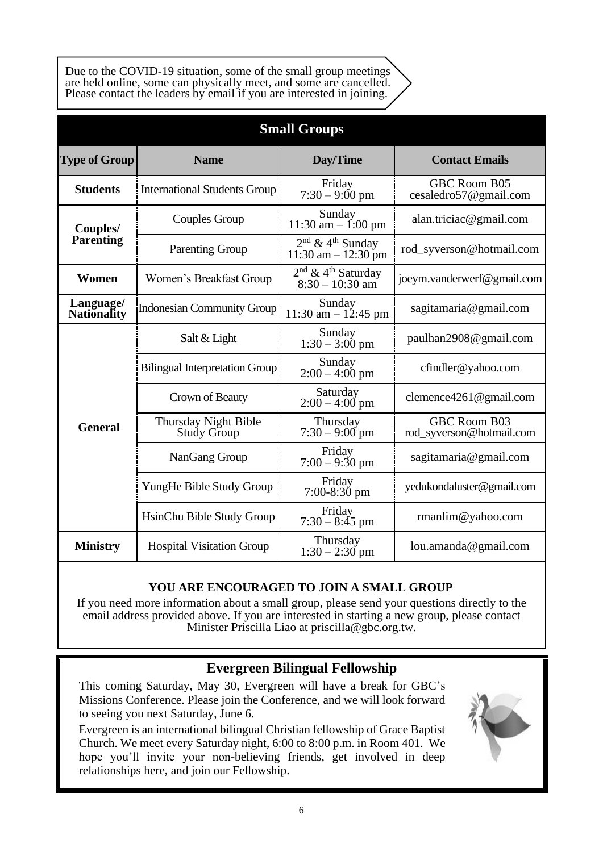Due to the COVID-19 situation, some of the small group meetings are held online, some can physically meet, and some are cancelled. Please contact the leaders by email if you are interested in joining.

| <b>Small Groups</b>                                                  |                                       |                                                                 |                                          |  |  |  |
|----------------------------------------------------------------------|---------------------------------------|-----------------------------------------------------------------|------------------------------------------|--|--|--|
| <b>Type of Group</b>                                                 | <b>Name</b>                           | Day/Time                                                        | <b>Contact Emails</b>                    |  |  |  |
| <b>Students</b>                                                      | <b>International Students Group</b>   |                                                                 | GBC Room B05<br>cesaledro57@gmail.com    |  |  |  |
| Couples/                                                             | Couples Group                         | Sunday<br>11:30 am $-$ 1:00 pm                                  | alan.triciac@gmail.com                   |  |  |  |
| <b>Parenting</b>                                                     | <b>Parenting Group</b>                | $2^{nd}$ & 4 <sup>th</sup> Sunday<br>$11:30$ am $- 12:30$ pm    | rod_syverson@hotmail.com                 |  |  |  |
| Women                                                                | Women's Breakfast Group               | $2^{\text{nd}}$ & $4^{\text{th}}$ Saturday<br>$8:30 - 10:30$ am | joeym.vanderwerf@gmail.com               |  |  |  |
| Language/<br><b>Indonesian Community Group</b><br><b>Nationality</b> |                                       | Sunday<br>11:30 am $- 12:45$ pm                                 | sagitamaria@gmail.com                    |  |  |  |
|                                                                      | Salt & Light                          | Sunday<br>$1:30 - 3:00$ pm                                      | paulhan2908@gmail.com                    |  |  |  |
|                                                                      | <b>Bilingual Interpretation Group</b> | Sunday<br>$2:00 - 4:00$ pm                                      | cfindler@yahoo.com                       |  |  |  |
|                                                                      | Crown of Beauty                       | Saturday<br>$2:00 - 4:00$ pm                                    | clemence4261@gmail.com                   |  |  |  |
| <b>General</b>                                                       | Thursday Night Bible<br>Study Group   | Thursday<br>$7:30 - 9:00$ pm                                    | GBC Room B03<br>rod_syverson@hotmail.com |  |  |  |
|                                                                      | NanGang Group                         | Friday<br>$7:00 - 9:30$ pm                                      | sagitamaria@gmail.com                    |  |  |  |
|                                                                      | YungHe Bible Study Group              | Friday<br>$7:00-8:30$ pm                                        | yedukondaluster@gmail.com                |  |  |  |
|                                                                      | HsinChu Bible Study Group             | Friday<br>$7:30-8:45$ pm                                        | $r$ manlim@yahoo.com                     |  |  |  |
| <b>Ministry</b>                                                      | <b>Hospital Visitation Group</b>      | Thursday<br>$1:30 - 2:30$ pm                                    | lou.amanda@gmail.com                     |  |  |  |

#### **YOU ARE ENCOURAGED TO JOIN A SMALL GROUP**

If you need more information about a small group, please send your questions directly to the email address provided above. If you are interested in starting a new group, please contact Minister Priscilla Liao at [priscilla@gbc.org.tw.](mailto:priscilla@gbc.org.tw)

#### **Evergreen Bilingual Fellowship**

This coming Saturday, May 30, Evergreen will have a break for GBC's Missions Conference. Please join the Conference, and we will look forward to seeing you next Saturday, June 6.

Evergreen is an international bilingual Christian fellowship of Grace Baptist Church. We meet every Saturday night, 6:00 to 8:00 p.m. in Room 401. We hope you'll invite your non-believing friends, get involved in deep relationships here, and join our Fellowship.